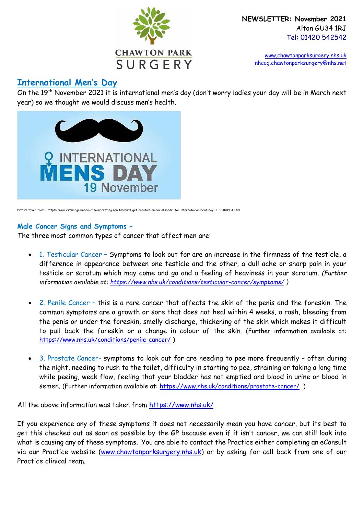

 [www.chawtonparksurgery.nhs.uk](http://www.chawtonparksurgery.nhs.uk/) [nhccg.chawtonparksurgery@nhs.net](mailto:nhccg.chawtonparksurgery@nhs.net) 

# **International Men's Day**

On the 19th November 2021 it is international men's day (don't worry ladies your day will be in March next year) so we thought we would discuss men's health.



Picture taken from - https://www.exchange4media.com/marketing-news/brands-get-creative-on-social-media-for-international-mens-day-2019-100931.html

### **Male Cancer Signs and Symptoms –**

The three most common types of cancer that affect men are:

- 1. Testicular Cancer Symptoms to look out for are an increase in the firmness of the testicle, a difference in appearance between one testicle and the other, a dull ache or sharp pain in your testicle or scrotum which may come and go and a feeling of heaviness in your scrotum. *(Further information available at:<https://www.nhs.uk/conditions/testicular-cancer/symptoms/> )*
- 2. Penile Cancer this is a rare cancer that affects the skin of the penis and the foreskin. The common symptoms are a growth or sore that does not heal within 4 weeks, a rash, bleeding from the penis or under the foreskin, smelly discharge, thickening of the skin which makes it difficult to pull back the foreskin or a change in colour of the skin. (Further information available at: <https://www.nhs.uk/conditions/penile-cancer/> )
- 3. Prostate Cancer- symptoms to look out for are needing to pee more frequently often during the night, needing to rush to the toilet, difficulty in starting to pee, straining or taking a long time while peeing, weak flow, feeling that your bladder has not emptied and blood in urine or blood in semen. (Further information available at: https://www.nhs.uk/conditions/prostate-cancer/)

All the above information was taken from<https://www.nhs.uk/>

If you experience any of these symptoms it does not necessarily mean you have cancer, but its best to get this checked out as soon as possible by the GP because even if it isn't cancer, we can still look into what is causing any of these symptoms. You are able to contact the Practice either completing an eConsult via our Practice website [\(www.chawtonparksurgery.nhs.uk\)](http://www.chawtonparksurgery.nhs.uk/) or by asking for call back from one of our Practice clinical team.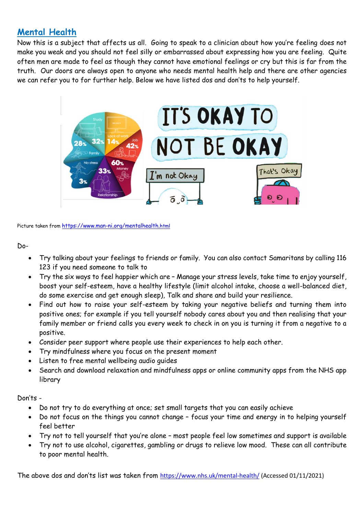# **Mental Health**

Now this is a subject that affects us all. Going to speak to a clinician about how you're feeling does not make you weak and you should not feel silly or embarrassed about expressing how you are feeling. Quite often men are made to feel as though they cannot have emotional feelings or cry but this is far from the truth. Our doors are always open to anyone who needs mental health help and there are other agencies we can refer you to for further help. Below we have listed dos and don'ts to help yourself.



Picture taken from [https://www.man-ni.org/mentalhealth.](https://www.man-ni.org/mentalhealth.html)[html](https://www.man-ni.org/mentalhealth.html)

### Do-

- Try talking about your feelings to friends or family. You can also contact Samaritans by calling 116 123 if you need someone to talk to
- Try the six ways to feel happier which are Manage your stress levels, take time to enjoy yourself, boost your self-esteem, have a healthy lifestyle (limit alcohol intake, choose a well-balanced diet, do some exercise and get enough sleep), Talk and share and build your resilience.
- Find out how to raise your self-esteem by taking your negative beliefs and turning them into positive ones; for example if you tell yourself nobody cares about you and then realising that your family member or friend calls you every week to check in on you is turning it from a negative to a positive.
- Consider peer support where people use their experiences to help each other.
- Try mindfulness where you focus on the present moment
- Listen to free mental wellbeing audio quides
- Search and download relaxation and mindfulness apps or online community apps from the NHS app library

Don'ts -

- Do not try to do everything at once; set small targets that you can easily achieve
- Do not focus on the things you cannot change focus your time and energy in to helping yourself feel better
- Try not to tell yourself that you're alone most people feel low sometimes and support is available
- Try not to use alcohol, cigarettes, gambling or drugs to relieve low mood. These can all contribute to poor mental health.

The above dos and don'ts list was taken from <https://www.nhs.uk/mental-health/> (Accessed 01/11/2021)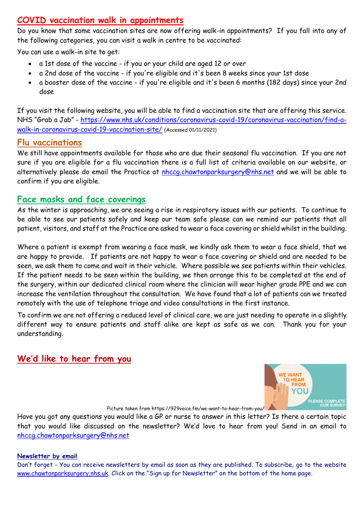## **COVID vaccination walk in appointments**

Do you know that some vaccination sites are now offering walk-in appointments? If you fall into any of the following categories, you can visit a walk in centre to be vaccinated:

You can use a walk-in site to get:

- a 1st dose of the vaccine if you or your child are aged 12 or over
- a 2nd dose of the vaccine if you're eligible and it's been 8 weeks since your 1st dose
- a booster dose of the vaccine if you're eligible and it's been 6 months (182 days) since your 2nd dose

If you visit the following website, you will be able to find a vaccination site that are offering this service. NHS "Grab a Jab" - [https://www.nhs.uk/conditions/coronavirus-covid-19/coronavirus-vaccination/find-a](https://www.nhs.uk/conditions/coronavirus-covid-19/coronavirus-vaccination/find-a-walk-in-coronavirus-covid-19-vaccination-site/)[walk-in-coronavirus-covid-19-vaccination-site/](https://www.nhs.uk/conditions/coronavirus-covid-19/coronavirus-vaccination/find-a-walk-in-coronavirus-covid-19-vaccination-site/) (Accessed 01/11/2021)

## **Flu vaccinations**

We still have appointments available for those who are due their seasonal flu vaccination. If you are not sure if you are eligible for a flu vaccination there is a full list of criteria available on our website, or alternatively please do email the Practice at [nhccg.chawtonparksurgery@nhs.net](mailto:nhccg.chawtonparksurgery@nhs.net) and we will be able to confirm if you are eligible.

## **Face masks and face coverings**

As the winter is approaching, we are seeing a rise in respiratory issues with our patients. To continue to be able to see our patients safely and keep our team safe please can we remind our patients that all patient, visitors, and staff at the Practice are asked to wear a face covering or shield whilst in the building.

Where a patient is exempt from wearing a face mask, we kindly ask them to wear a face shield, that we are happy to provide. If patients are not happy to wear a face covering or shield and are needed to be seen, we ask them to come and wait in their vehicle. Where possible we see patients within their vehicles. If the patient needs to be seen within the building, we then arrange this to be completed at the end of the surgery, within our dedicated clinical room where the clinician will wear higher grade PPE and we can increase the ventilation throughout the consultation. We have found that a lot of patients can we treated remotely with the use of telephone triage and video consultations in the first instance.

To confirm we are not offering a reduced level of clinical care, we are just needing to operate in a slightly different way to ensure patients and staff alike are kept as safe as we can. Thank you for your understanding.

# **We'd like to hear from you**



Picture taken from https://929voice.fm/we-want-to-hear-from-you/

Have you got any questions you would like a GP or nurse to answer in this letter? Is there a certain topic that you would like discussed on the newsletter? We'd love to hear from you! Send in an email to [nhccg.chawtonparksurgery@nhs.net](mailto:nhccg.chawtonparksurgery@nhs.net)

### **Newsletter by email**

Don't forget - You can receive newsletters by email as soon as they are published. To subscribe, go to the website [www.chawtonparksurgery.nhs.uk](http://www.chawtonparksurgery.nhs.uk/). Click on the "Sign up for Newsletter" on the bottom of the home page.